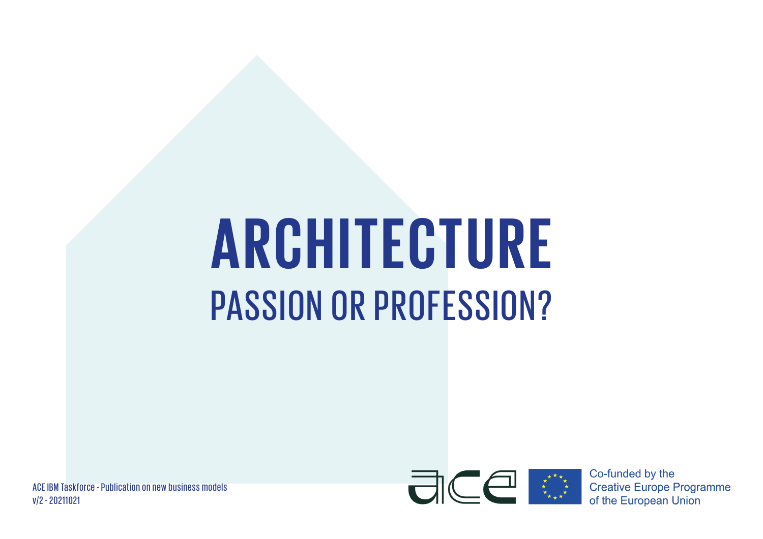# **ARCHITECTURE** PASSION OR PROFESSION?

ACE IBM Taskforce - Publication on new business models v/2 - 20211021



Co-funded by the **Creative Europe Programme** of the European Union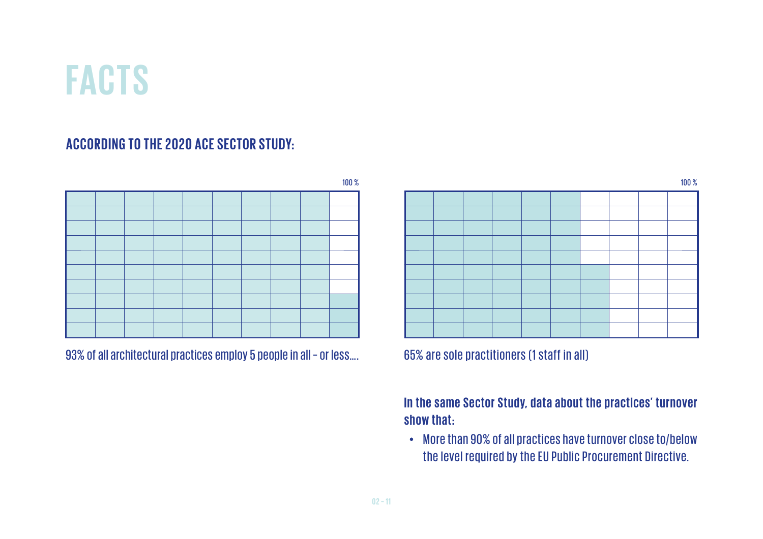## **FACTS**

#### ACCORDING TO THE 2020 ACE SECTOR STUDY:



93% of all architectural practices employ 5 people in all – or less…. 65% are sole practitioners (1 staff in all)

#### In the same Sector Study, data about the practices' turnover **show that:**

More than 90% of all practices have turnover close to/below the level required by the EU Public Procurement Directive.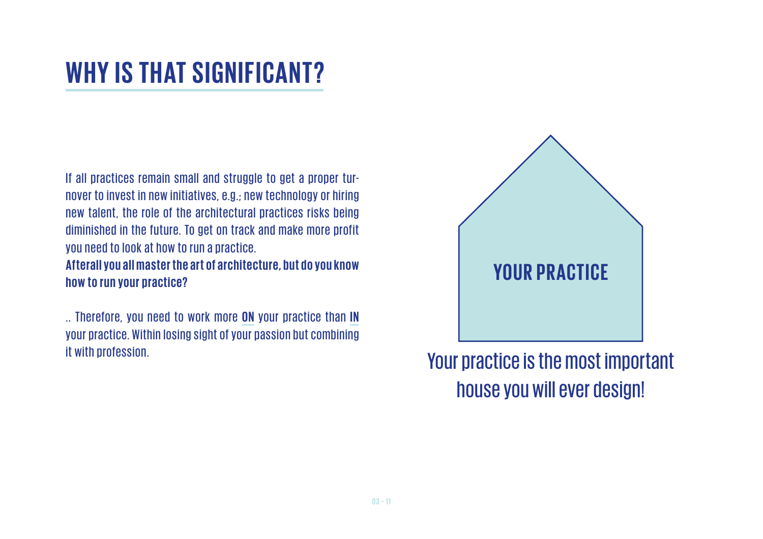#### **WHY IS THAT SIGNIFICANT?**

If all practices remain small and struggle to get a proper turnover to invest in new initiatives, e.g.; new technology or hiring new talent, the role of the architectural practices risks being diminished in the future. To get on track and make more profit you need to look at how to run a practice.

Afterall you all master the art of architecture, but do you know **how to run your practice?**

... Therefore, you need to work more **ON** your practice than **IN** your practice. Within losing sight of your passion but combining it with profession.



Your practice is the most important house you will ever design!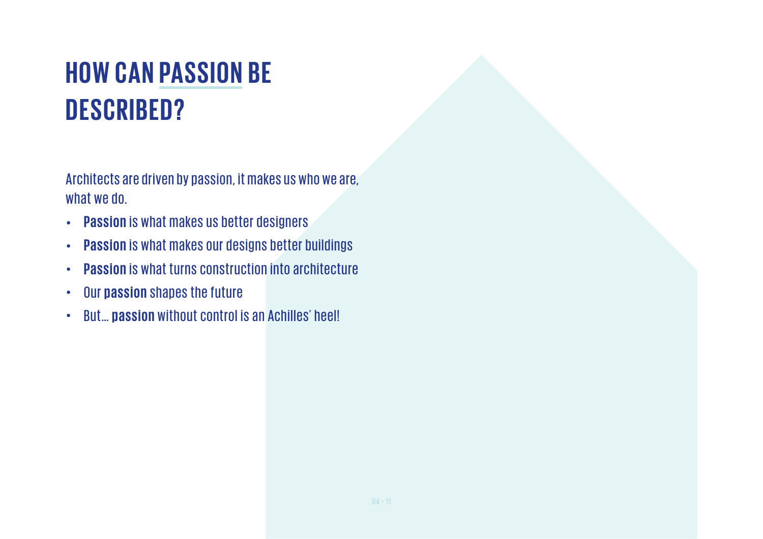### **HOW CAN PASSION BE DESCRIBED?**

Architects are driven by passion, it makes us who we are, what we do.

- **Passion** is what makes us better designers  $\bullet$
- **Passion** is what makes our designs better buildings  $\bullet$
- **Passion** is what turns construction into architecture  $\bullet$
- Our **passion** shapes the future  $\bullet$
- But… **passion** without control is an Achilles' heel!  $\bullet$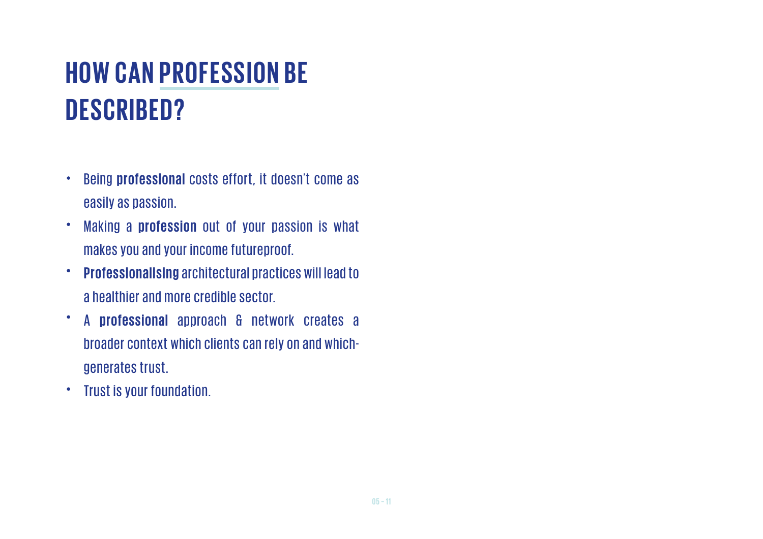### **HOW CAN PROFESSION BE DESCRIBED?**

- Being **professional** costs effort, it doesn't come as  $\bullet$ easily as passion.
- Making a **profession** out of your passion is what  $\bullet$ makes you and your income futureproof.
- **Professionalising** architectural practices will lead to  $\bullet$ a healthier and more credible sector.
- $\bullet$ A **professional** approach & network creates a broader context which clients can rely on and whichgenerates trust.
- Trust is your foundation.  $\bullet$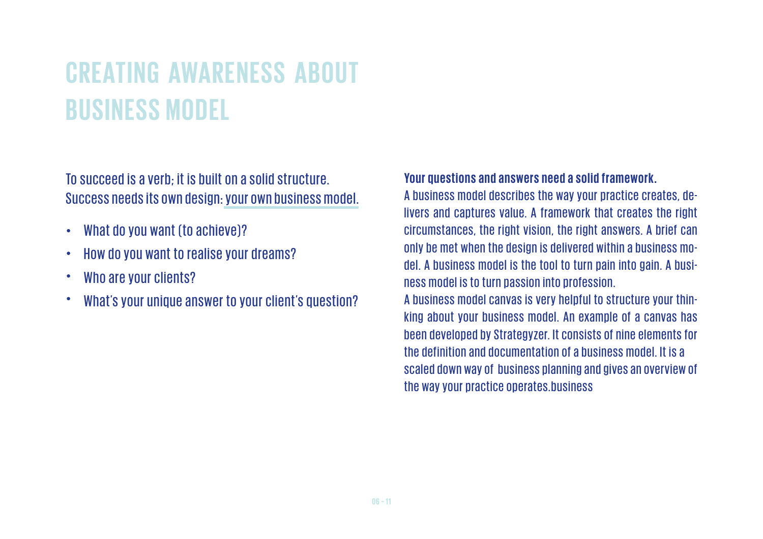### **CREATING AWARENESS ABOUT BUSINESS MODEL**

To succeed is a verb; it is built on a solid structure. Success needs its own design: your own business model.

- What do you want (to achieve)?  $\bullet$
- How do you want to realise your dreams?  $\bullet$
- Who are your clients?  $\bullet$
- C What's your unique answer to your client's question?

#### **Your questions and answers need a solid framework.**

A business model describes the way your practice creates, delivers and captures value. A framework that creates the right circumstances, the right vision, the right answers. A brief can only be met when the design is delivered within a business model. A business model is the tool to turn pain into gain. A business model is to turn passion into profession.

A business model canvas is very helpful to structure your thinking about your business model. An example of a canvas has been developed by Strategyzer. It consists of nine elements for the definition and documentation of a business model. It is a scaled down way of business planning and gives an overview of the way your practice operates.business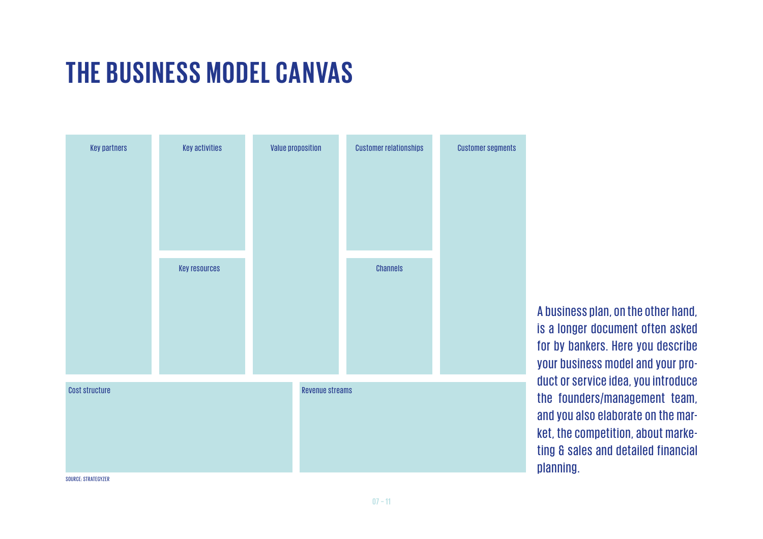#### **THE BUSINESS MODEL CANVAS**



A business plan, on the other hand, is a longer document often asked for by bankers. Here you describe your business model and your product or service idea, you introduce the founders/management team, and you also elaborate on the market, the competition, about marketing & sales and detailed financial planning.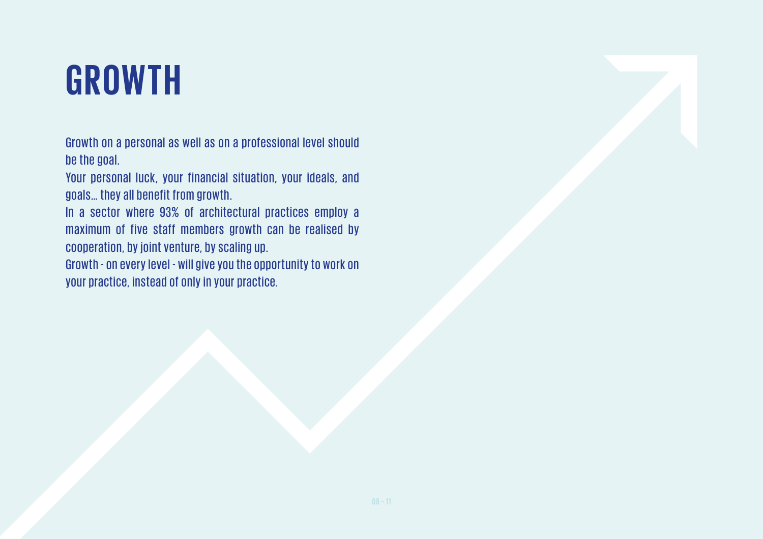# **GROWTH**

Growth on a personal as well as on a professional level should be the goal.

Your personal luck, your financial situation, your ideals, and goals… they all benefit from growth.

In a sector where 93% of architectural practices employ a maximum of five staff members growth can be realised by cooperation, by joint venture, by scaling up.

Growth - on every level - will give you the opportunity to work on your practice, instead of only in your practice.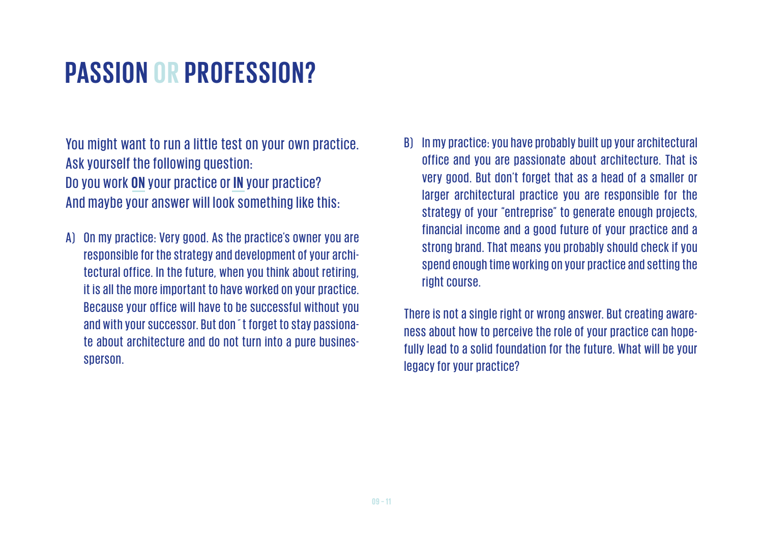#### **PASSION OR PROFESSION?**

You might want to run a little test on your own practice. Ask yourself the following question: Do you work **ON** your practice or IN your practice? And maybe your answer will look something like this:

- A) On my practice: Very good. As the practice's owner you are responsible for the strategy and development of your architectural office. In the future, when you think about retiring, it is all the more important to have worked on your practice. Because your office will have to be successful without you and with your successor. But don´t forget to stay passionate about architecture and do not turn into a pure businessperson.
- B) In my practice: you have probably built up your architectural office and you are passionate about architecture. That is very good. But don't forget that as a head of a smaller or larger architectural practice you are responsible for the strategy of your "entreprise" to generate enough projects, financial income and a good future of your practice and a strong brand. That means you probably should check if you spend enough time working on your practice and setting the right course.

There is not a single right or wrong answer. But creating awareness about how to perceive the role of your practice can hopefully lead to a solid foundation for the future. What will be your legacy for your practice?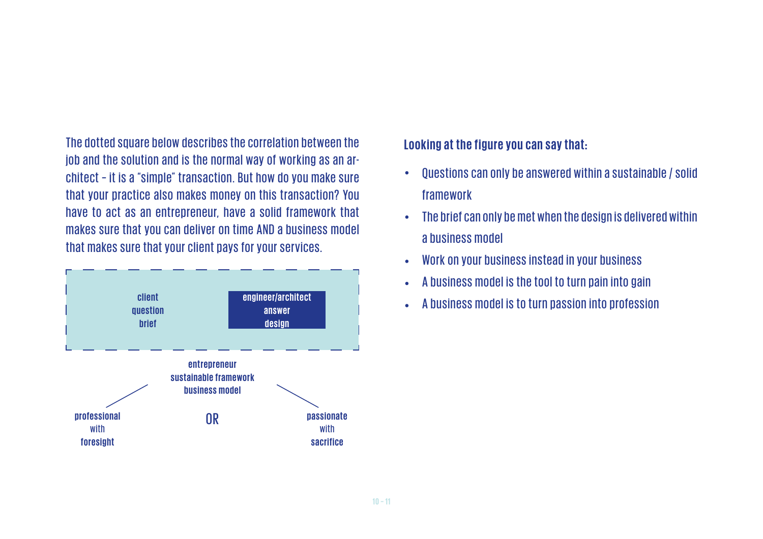The dotted square below describes the correlation between the job and the solution and is the normal way of working as an architect – it is a "simple" transaction. But how do you make sure that your practice also makes money on this transaction? You have to act as an entrepreneur, have a solid framework that makes sure that you can deliver on time AND a business model that makes sure that your client pays for your services.



#### **Looking at the figure you can say that:**

- Questions can only be answered within a sustainable / solid  $\bullet$ framework
- The brief can only be met when the design is delivered within  $\bullet$ a business model
- Work on your business instead in your business  $\bullet$
- A business model is the tool to turn pain into gain
- A business model is to turn passion into profession **engineer/architect**